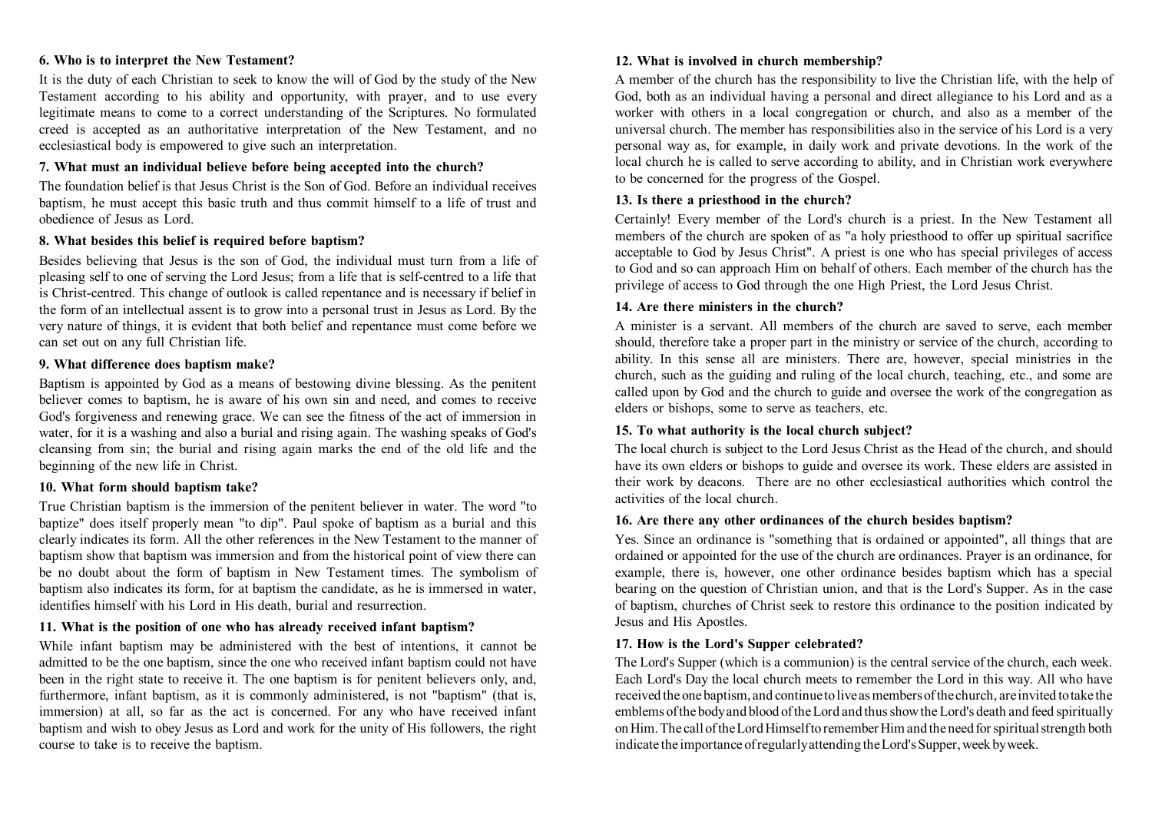## **6. Who is to interpret the New Testament?**

It is the duty of each Christian to seek to know the will of God by the study of the New Testament according to his ability and opportunity, with prayer, and to use every legitimate means to come to a correct understanding of the Scriptures. No formulated creed is accepted as an authoritative interpretation of the New Testament, and no ecclesiastical body is empowered to give such an interpretation.

# **7. What must an individual believe before being accepted into the church?**

The foundation belief is that Jesus Christ is the Son of God. Before an individual receives baptism, he must accept this basic truth and thus commit himself to a life of trust and obedience of Jesus as Lord.

## **8. What besides this belief is required before baptism?**

Besides believing that Jesus is the son of God, the individual must turn from a life of pleasing self to one of serving the Lord Jesus; from a life that is self-centred to a life that is Christ-centred. This change of outlook is called repentance and is necessary if belief in the form of an intellectual assent is to grow into a personal trust in Jesus as Lord. By the very nature of things, it is evident that both belief and repentance must come before we can set out on any full Christian life.

## **9. What difference does baptism make?**

Baptism is appointed by God as a means of bestowing divine blessing. As the penitent believer comes to baptism, he is aware of his own sin and need, and comes to receive God's forgiveness and renewing grace. We can see the fitness of the act of immersion in water, for it is a washing and also a burial and rising again. The washing speaks of God's cleansing from sin; the burial and rising again marks the end of the old life and the beginning of the new life in Christ.

## **10. What form should baptism take?**

True Christian baptism is the immersion of the penitent believer in water. The word "to baptize" does itself properly mean "to dip". Paul spoke of baptism as a burial and this clearly indicates its form. All the other references in the New Testament to the manner of baptism show that baptism was immersion and from the historical point of view there can be no doubt about the form of baptism in New Testament times. The symbolism of baptism also indicates its form, for at baptism the candidate, as he is immersed in water, identifies himself with his Lord in His death, burial and resurrection.

## **11. What is the position of one who has already received infant baptism?**

While infant baptism may be administered with the best of intentions, it cannot be admitted to be the one baptism, since the one who received infant baptism could not have been in the right state to receive it. The one baptism is for penitent believers only, and, furthermore, infant baptism, as it is commonly administered, is not "baptism" (that is, immersion) at all, so far as the act is concerned. For any who have received infant baptism and wish to obey Jesus as Lord and work for the unity of His followers, the right course to take is to receive the baptism.

# **12. What is involved in church membership?**

A member of the church has the responsibility to live the Christian life, with the help of God, both as an individual having a personal and direct allegiance to his Lord and as a worker with others in a local congregation or church, and also as a member of the universal church. The member has responsibilities also in the service of his Lord is a very personal way as, for example, in daily work and private devotions. In the work of the local church he is called to serve according to ability, and in Christian work everywhere to be concerned for the progress of the Gospel.

# **13. Is there a priesthood in the church?**

Certainly! Every member of the Lord's church is a priest. In the New Testament all members of the church are spoken of as "a holy priesthood to offer up spiritual sacrifice acceptable to God by Jesus Christ". A priest is one who has special privileges of access to God and so can approach Him on behalf of others. Each member of the church has the privilege of access to God through the one High Priest, the Lord Jesus Christ.

## **14. Are there ministers in the church?**

A minister is a servant. All members of the church are saved to serve, each member should, therefore take a proper part in the ministry or service of the church, according to ability. In this sense all are ministers. There are, however, special ministries in the church, such as the guiding and ruling of the local church, teaching, etc., and some are called upon by God and the church to guide and oversee the work of the congregation as elders or bishops, some to serve as teachers, etc.

# **15. To what authority is the local church subject?**

The local church is subject to the Lord Jesus Christ as the Head of the church, and should have its own elders or bishops to guide and oversee its work. These elders are assisted in their work by deacons. There are no other ecclesiastical authorities which control the activities of the local church.

## **16. Are there any other ordinances of the church besides baptism?**

Yes. Since an ordinance is "something that is ordained or appointed", all things that are ordained or appointed for the use of the church are ordinances. Prayer is an ordinance, for example, there is, however, one other ordinance besides baptism which has a special bearing on the question of Christian union, and that is the Lord's Supper. As in the case of baptism, churches of Christ seek to restore this ordinance to the position indicated by Jesus and His Apostles.

## **17. How is the Lord's Supper celebrated?**

The Lord's Supper (which is a communion) is the central service of the church, each week. Each Lord's Day the local church meets to remember the Lord in this way. All who have received the one baptism, and continue to live as members of the church, are invited to take the emblems of the body and blood of the Lord and thus show the Lord's death and feed spiritually on Him. The call of the Lord Himself to remember Him and the need for spiritual strength both indicate the importance of regularly attending the Lord's Supper, week by week.